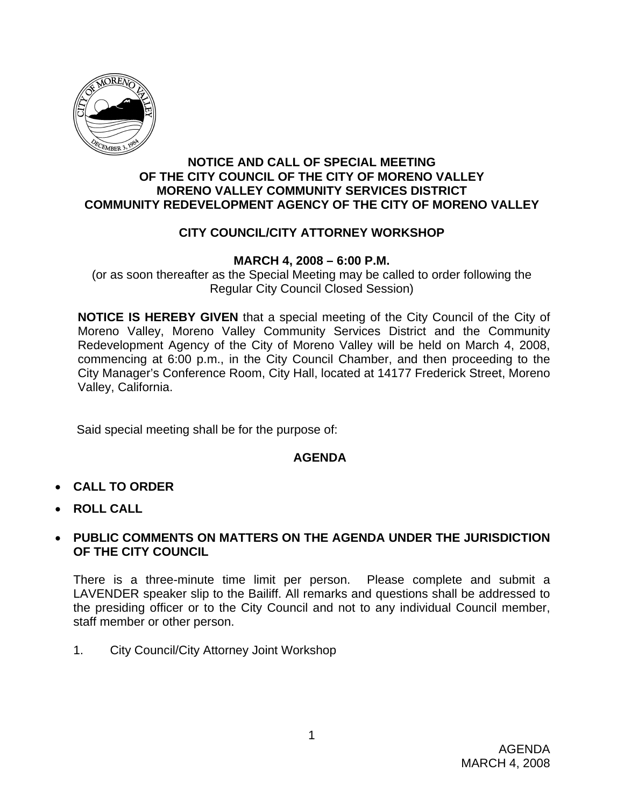

#### **NOTICE AND CALL OF SPECIAL MEETING OF THE CITY COUNCIL OF THE CITY OF MORENO VALLEY MORENO VALLEY COMMUNITY SERVICES DISTRICT COMMUNITY REDEVELOPMENT AGENCY OF THE CITY OF MORENO VALLEY**

## **CITY COUNCIL/CITY ATTORNEY WORKSHOP**

### **MARCH 4, 2008 – 6:00 P.M.**

(or as soon thereafter as the Special Meeting may be called to order following the Regular City Council Closed Session)

**NOTICE IS HEREBY GIVEN** that a special meeting of the City Council of the City of Moreno Valley, Moreno Valley Community Services District and the Community Redevelopment Agency of the City of Moreno Valley will be held on March 4, 2008, commencing at 6:00 p.m., in the City Council Chamber, and then proceeding to the City Manager's Conference Room, City Hall, located at 14177 Frederick Street, Moreno Valley, California.

Said special meeting shall be for the purpose of:

### **AGENDA**

- **CALL TO ORDER**
- **ROLL CALL**

#### • **PUBLIC COMMENTS ON MATTERS ON THE AGENDA UNDER THE JURISDICTION OF THE CITY COUNCIL**

There is a three-minute time limit per person. Please complete and submit a LAVENDER speaker slip to the Bailiff. All remarks and questions shall be addressed to the presiding officer or to the City Council and not to any individual Council member, staff member or other person.

1. City Council/City Attorney Joint Workshop